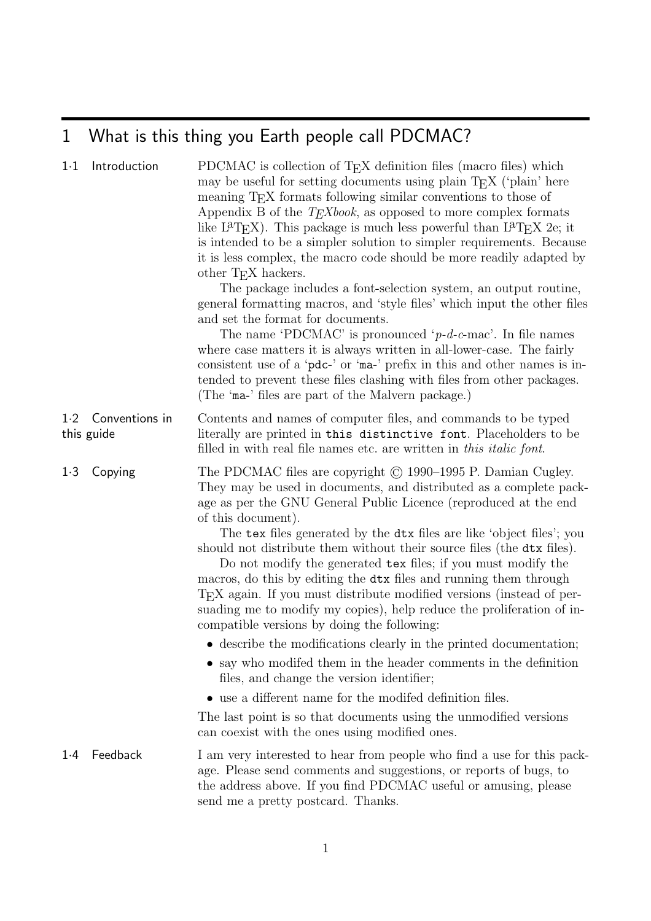# 1 What is this thing you Earth people call PDCMAC?

| $1-1$ | Introduction                 | PDCMAC is collection of T <sub>E</sub> X definition files (macro files) which<br>may be useful for setting documents using plain T <sub>E</sub> X ('plain' here<br>meaning T <sub>E</sub> X formats following similar conventions to those of<br>Appendix B of the $T_{E}Xbook$ , as opposed to more complex formats<br>like $L^{a}T_{F}X$ ). This package is much less powerful than $L^{a}T_{F}X$ 2e; it<br>is intended to be a simpler solution to simpler requirements. Because<br>it is less complex, the macro code should be more readily adapted by<br>other T <sub>E</sub> X hackers.<br>The package includes a font-selection system, an output routine,<br>general formatting macros, and 'style files' which input the other files<br>and set the format for documents.<br>The name 'PDCMAC' is pronounced ' $p-d-c$ -mac'. In file names<br>where case matters it is always written in all-lower-case. The fairly<br>consistent use of a 'pdc-' or 'ma-' prefix in this and other names is in-<br>tended to prevent these files clashing with files from other packages.<br>(The 'ma-' files are part of the Malvern package.) |
|-------|------------------------------|---------------------------------------------------------------------------------------------------------------------------------------------------------------------------------------------------------------------------------------------------------------------------------------------------------------------------------------------------------------------------------------------------------------------------------------------------------------------------------------------------------------------------------------------------------------------------------------------------------------------------------------------------------------------------------------------------------------------------------------------------------------------------------------------------------------------------------------------------------------------------------------------------------------------------------------------------------------------------------------------------------------------------------------------------------------------------------------------------------------------------------------------|
| 1·2   | Conventions in<br>this guide | Contents and names of computer files, and commands to be typed<br>literally are printed in this distinctive font. Placeholders to be<br>filled in with real file names etc. are written in this <i>italic font</i> .                                                                                                                                                                                                                                                                                                                                                                                                                                                                                                                                                                                                                                                                                                                                                                                                                                                                                                                        |
| 1.3   | Copying                      | The PDCMAC files are copyright $\odot$ 1990–1995 P. Damian Cugley.<br>They may be used in documents, and distributed as a complete pack-<br>age as per the GNU General Public Licence (reproduced at the end<br>of this document).<br>The tex files generated by the dtx files are like 'object files'; you<br>should not distribute them without their source files (the dtx files).<br>Do not modify the generated tex files; if you must modify the<br>macros, do this by editing the dtx files and running them through<br>T <sub>E</sub> X again. If you must distribute modified versions (instead of per-<br>suading me to modify my copies), help reduce the proliferation of in-<br>compatible versions by doing the following:<br>• describe the modifications clearly in the printed documentation;                                                                                                                                                                                                                                                                                                                              |
|       |                              | $\bullet\,$ say who modifed them in the header comments in the definition<br>files, and change the version identifier;                                                                                                                                                                                                                                                                                                                                                                                                                                                                                                                                                                                                                                                                                                                                                                                                                                                                                                                                                                                                                      |
|       |                              | • use a different name for the modifed definition files.                                                                                                                                                                                                                                                                                                                                                                                                                                                                                                                                                                                                                                                                                                                                                                                                                                                                                                                                                                                                                                                                                    |
|       |                              | The last point is so that documents using the unmodified versions<br>can conest with the ones using modified ones.                                                                                                                                                                                                                                                                                                                                                                                                                                                                                                                                                                                                                                                                                                                                                                                                                                                                                                                                                                                                                          |
| 1.4   | Feedback                     | I am very interested to hear from people who find a use for this pack-<br>age. Please send comments and suggestions, or reports of bugs, to<br>the address above. If you find PDCMAC useful or amusing, please<br>send me a pretty postcard. Thanks.                                                                                                                                                                                                                                                                                                                                                                                                                                                                                                                                                                                                                                                                                                                                                                                                                                                                                        |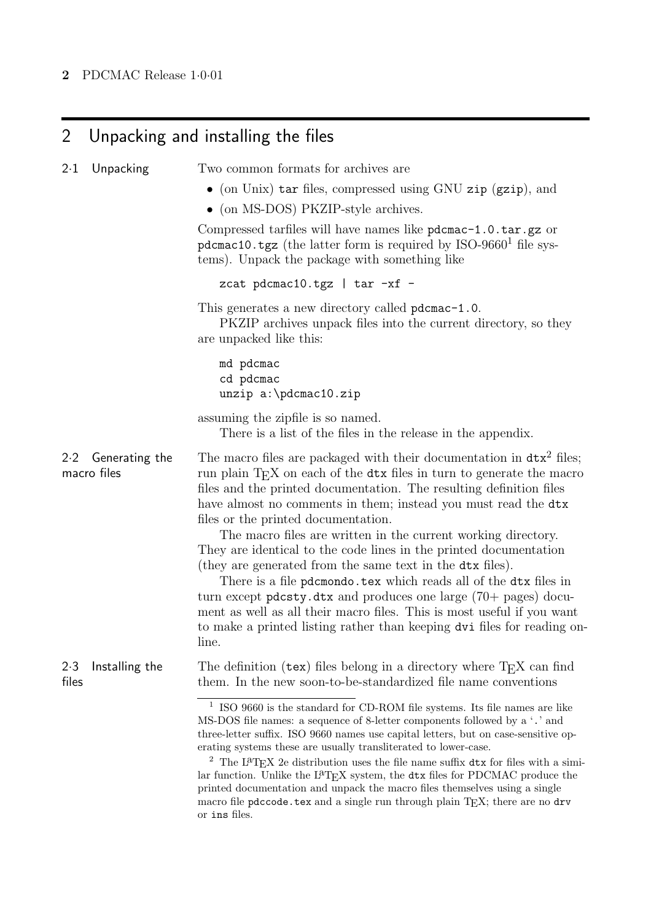# 2 Unpacking and installing the files

| $2 \cdot 1$<br>Unpacking             | Two common formats for archives are                                                                                                                                                                                                                                                                                                                                                                                                                                                                                                                                                                                                                                                                                                                                                                                                                                |
|--------------------------------------|--------------------------------------------------------------------------------------------------------------------------------------------------------------------------------------------------------------------------------------------------------------------------------------------------------------------------------------------------------------------------------------------------------------------------------------------------------------------------------------------------------------------------------------------------------------------------------------------------------------------------------------------------------------------------------------------------------------------------------------------------------------------------------------------------------------------------------------------------------------------|
|                                      | • (on Unix) tar files, compressed using GNU zip (gzip), and                                                                                                                                                                                                                                                                                                                                                                                                                                                                                                                                                                                                                                                                                                                                                                                                        |
|                                      | $\bullet$ (on MS-DOS) PKZIP-style archives.                                                                                                                                                                                                                                                                                                                                                                                                                                                                                                                                                                                                                                                                                                                                                                                                                        |
|                                      | Compressed tarfiles will have names like pdcmac-1.0.tar.gz or<br>pdcmac10.tgz (the latter form is required by $ISO-96601$ file sys-<br>tems). Unpack the package with something like                                                                                                                                                                                                                                                                                                                                                                                                                                                                                                                                                                                                                                                                               |
|                                      | zcat pdcmac10.tgz   tar -xf -                                                                                                                                                                                                                                                                                                                                                                                                                                                                                                                                                                                                                                                                                                                                                                                                                                      |
|                                      | This generates a new directory called pdcmac-1.0.<br>PKZIP archives unpack files into the current directory, so they<br>are unpacked like this:                                                                                                                                                                                                                                                                                                                                                                                                                                                                                                                                                                                                                                                                                                                    |
|                                      | md pdcmac<br>cd pdcmac<br>$unzip a:\pmb{0zip$                                                                                                                                                                                                                                                                                                                                                                                                                                                                                                                                                                                                                                                                                                                                                                                                                      |
|                                      | assuming the zipfile is so named.<br>There is a list of the files in the release in the appendix.                                                                                                                                                                                                                                                                                                                                                                                                                                                                                                                                                                                                                                                                                                                                                                  |
| 2.2<br>Generating the<br>macro files | The macro files are packaged with their documentation in $dx^2$ files;<br>run plain T <sub>E</sub> X on each of the dtx files in turn to generate the macro<br>files and the printed documentation. The resulting definition files<br>have almost no comments in them; instead you must read the dtx<br>files or the printed documentation.<br>The macro files are written in the current working directory.<br>They are identical to the code lines in the printed documentation<br>(they are generated from the same text in the dtx files).<br>There is a file pdcmondo.tex which reads all of the dtx files in<br>turn except $p$ <b>dcsty.dtx</b> and produces one large $(70 + p$ pages) docu-<br>ment as well as all their macro files. This is most useful if you want<br>to make a printed listing rather than keeping dvi files for reading on-<br>line. |
| 2.3<br>Installing the<br>files       | The definition $(\text{tex})$ files belong in a directory where $T_{\text{F}}X$ can find<br>them. In the new soon-to-be-standardized file name conventions                                                                                                                                                                                                                                                                                                                                                                                                                                                                                                                                                                                                                                                                                                         |
|                                      | $1$ ISO 9660 is the standard for CD-ROM file systems. Its file names are like<br>MS-DOS file names: a sequence of 8-letter components followed by a '.' and<br>three-letter suffix. ISO 9660 names use capital letters, but on case-sensitive op-<br>erating systems these are usually transliterated to lower-case.<br><sup>2</sup> The L <sup>a</sup> T <sub>E</sub> X 2e distribution uses the file name suffix $dx$ for files with a simi-<br>lar function. Unlike the L <sup>3</sup> T <sub>E</sub> X system, the dtx files for PDCMAC produce the<br>printed documentation and unpack the macro files themselves using a single<br>macro file pdccode.tex and a single run through plain $TFX$ ; there are no drv<br>or ins files.                                                                                                                           |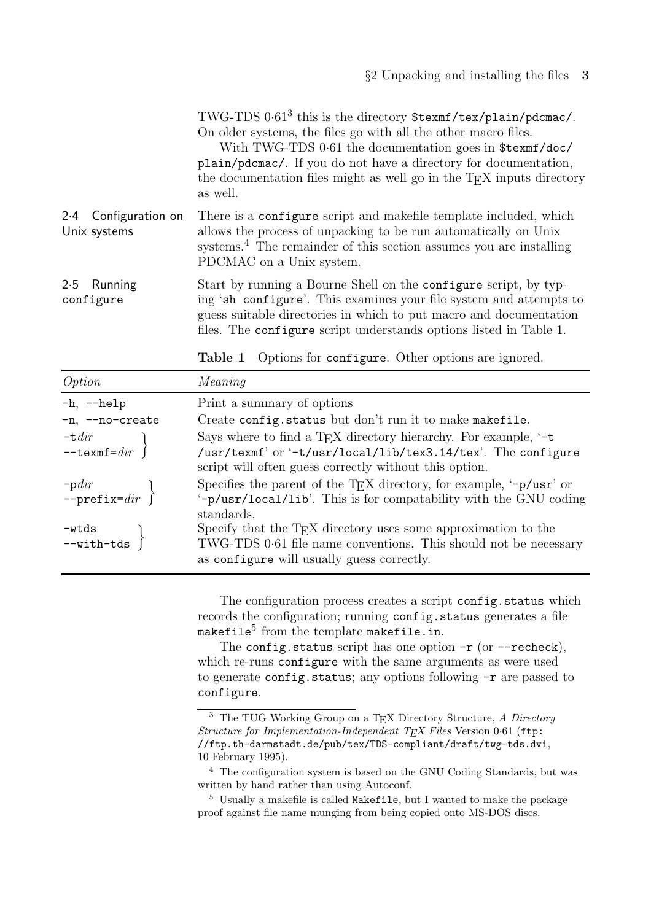TWG-TDS 0·61<sup>3</sup> this is the directory \$texmf/tex/plain/pdcmac/. On older systems, the files go with all the other macro files.

With TWG-TDS 0·61 the documentation goes in \$texmf/doc/ plain/pdcmac/. If you do not have a directory for documentation, the documentation files might as well go in the  $T_{E}X$  inputs directory as well.

- 2·4 Configuration on Unix systems There is a configure script and makefile template included, which allows the process of unpacking to be run automatically on Unix systems.<sup>4</sup> The remainder of this section assumes you are installing PDCMAC on a Unix system.
- 2·5 Running configure Start by running a Bourne Shell on the configure script, by typing 'sh configure'. This examines your file system and attempts to guess suitable directories in which to put macro and documentation files. The configure script understands options listed in Table 1.

| Table 1 |  |  | Options for configure. Other options are ignored. |  |  |  |  |
|---------|--|--|---------------------------------------------------|--|--|--|--|
|---------|--|--|---------------------------------------------------|--|--|--|--|

| Option                     | Meaning                                                                                                                                                                              |
|----------------------------|--------------------------------------------------------------------------------------------------------------------------------------------------------------------------------------|
| $-h, -h$ elp               | Print a summary of options                                                                                                                                                           |
| -n, --no-create            | Create config.status but don't run it to make makefile.                                                                                                                              |
| $-\tau$ <i>dir</i>         | Says where to find a T <sub>E</sub> X directory hierarchy. For example, $-\tau$                                                                                                      |
| $-$ texmf= $dir$           | /usr/texmf' or '-t/usr/local/lib/tex3.14/tex'. The configure<br>script will often guess correctly without this option.                                                               |
| $-pdir$<br>--prefix= $dir$ | Specifies the parent of the T <sub>E</sub> X directory, for example, $-\frac{p}{\arctan^2}$ or<br>'-p/usr/local/lib'. This is for compatability with the GNU coding<br>standards.    |
| $-vtds$<br>$--with$ -ds    | Specify that the $T_{E}X$ directory uses some approximation to the<br>TWG-TDS 0.61 file name conventions. This should not be necessary<br>as configure will usually guess correctly. |

The configuration process creates a script config.status which records the configuration; running config.status generates a file makefile<sup>5</sup> from the template makefile.in.

The config.status script has one option  $-r$  (or  $-r$  echeck), which re-runs configure with the same arguments as were used to generate config.status; any options following  $-r$  are passed to configure.

<sup>3</sup> The TUG Working Group on a TEX Directory Structure, *A Directory Structure for Implementation-Independent TEX Files* Version 0·61 (ftp: //ftp.th-darmstadt.de/pub/tex/TDS-compliant/draft/twg-tds.dvi, 10 February 1995).

<sup>4</sup> The configuration system is based on the GNU Coding Standards, but was written by hand rather than using Autoconf.

<sup>5</sup> Usually a makefile is called Makefile, but I wanted to make the package proof against file name munging from being copied onto MS-DOS discs.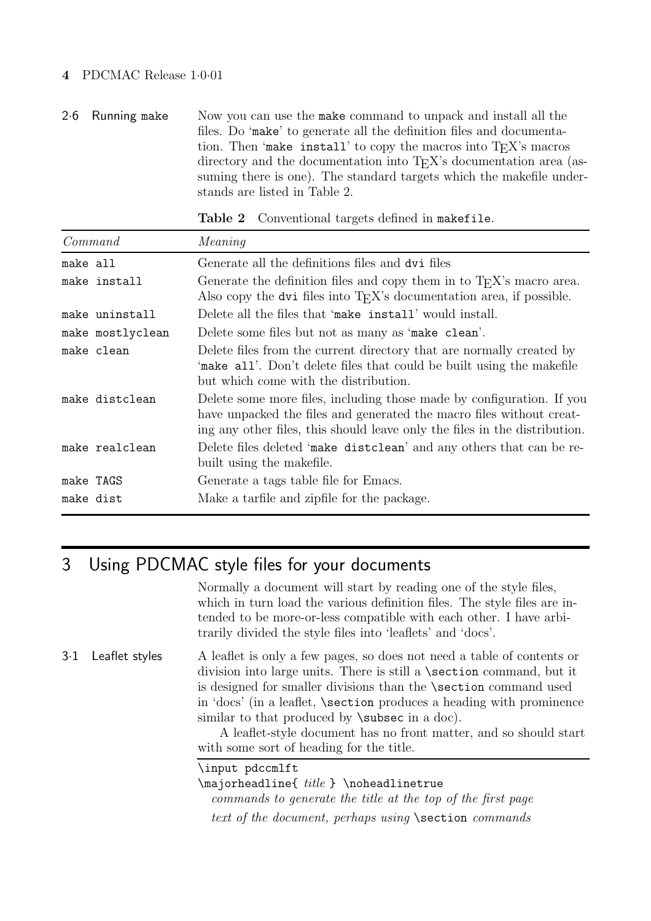## **4** PDCMAC Release 1·0·01

2·6 Running make Now you can use the make command to unpack and install all the files. Do 'make' to generate all the definition files and documentation. Then 'make install' to copy the macros into  $T_{E}X$ 's macros directory and the documentation into T<sub>E</sub>X's documentation area (assuming there is one). The standard targets which the makefile understands are listed in Table 2.

Command Meaning make all Generate all the definitions files and dvi files make install Generate the definition files and copy them in to  $T_{F}X$ 's macro area. Also copy the dvi files into  $T_{E}X$ 's documentation area, if possible. make uninstall Delete all the files that 'make install' would install. make mostlyclean Delete some files but not as many as 'make clean'. make clean Delete files from the current directory that are normally created by 'make all'. Don't delete files that could be built using the makefile but which come with the distribution. make distclean Delete some more files, including those made by configuration. If you have unpacked the files and generated the macro files without creating any other files, this should leave only the files in the distribution. make realclean Delete files deleted 'make distclean' and any others that can be rebuilt using the makefile. make TAGS Generate a tags table file for Emacs. make dist Make a tarfile and zipfile for the package.

**Table 2** Conventional targets defined in makefile.

# 3 Using PDCMAC style files for your documents

Normally a document will start by reading one of the style files, which in turn load the various definition files. The style files are intended to be more-or-less compatible with each other. I have arbitrarily divided the style files into 'leaflets' and 'docs'.

3·1 Leaflet styles A leaflet is only a few pages, so does not need a table of contents or division into large units. There is still a \section command, but it is designed for smaller divisions than the \section command used in 'docs' (in a leaflet, \section produces a heading with prominence similar to that produced by **\subsec** in a doc).

> A leaflet-style document has no front matter, and so should start with some sort of heading for the title.

\input pdccmlft

 $\mathcal{t}$  title  $\mathcal{t}$  \noheadlinetrue commands to generate the title at the top of the first page text of the document, perhaps using \section commands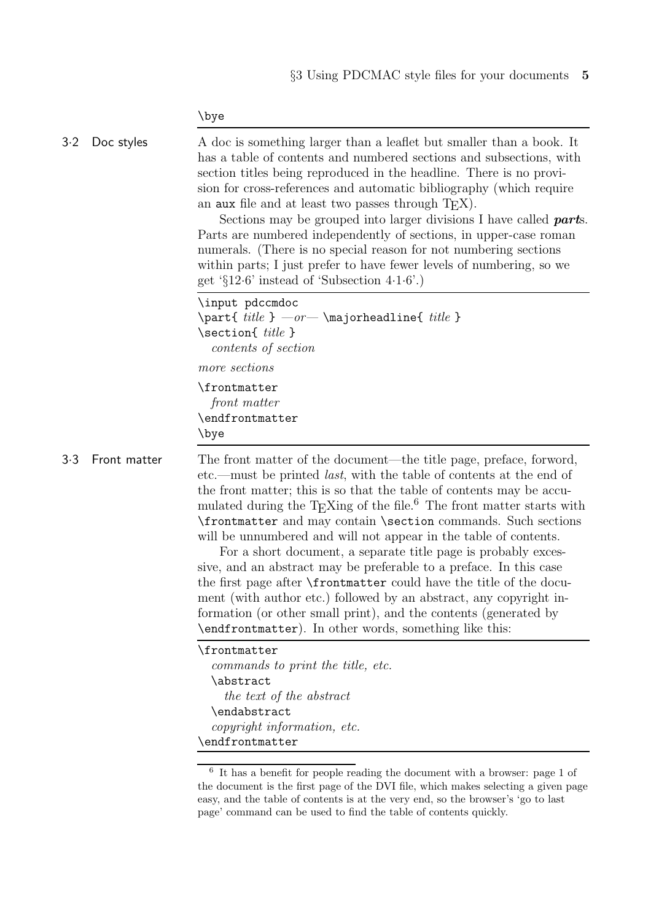\bye

| 3.2 | Doc styles   | A doc is something larger than a leaflet but smaller than a book. It<br>has a table of contents and numbered sections and subsections, with<br>section titles being reproduced in the headline. There is no provi-<br>sion for cross-references and automatic bibliography (which require<br>an aux file and at least two passes through $T_{\rm E}X$ ).<br>Sections may be grouped into larger divisions I have called <b>parts</b> .<br>Parts are numbered independently of sections, in upper-case roman<br>numerals. (There is no special reason for not numbering sections)<br>within parts; I just prefer to have fewer levels of numbering, so we<br>get ' $\S 12.6$ ' instead of 'Subsection 4.1.6'.)                                                                                                                                                                     |
|-----|--------------|-----------------------------------------------------------------------------------------------------------------------------------------------------------------------------------------------------------------------------------------------------------------------------------------------------------------------------------------------------------------------------------------------------------------------------------------------------------------------------------------------------------------------------------------------------------------------------------------------------------------------------------------------------------------------------------------------------------------------------------------------------------------------------------------------------------------------------------------------------------------------------------|
|     |              | \input pdccmdoc<br>\part{ $title$ } $—or$ \majorheadline{ $title$ }<br>\section{ title }<br>contents of section                                                                                                                                                                                                                                                                                                                                                                                                                                                                                                                                                                                                                                                                                                                                                                   |
|     |              | more sections                                                                                                                                                                                                                                                                                                                                                                                                                                                                                                                                                                                                                                                                                                                                                                                                                                                                     |
|     |              | \frontmatter<br>front matter<br>\endfrontmatter<br>\bye                                                                                                                                                                                                                                                                                                                                                                                                                                                                                                                                                                                                                                                                                                                                                                                                                           |
| 3.3 | Front matter | The front matter of the document—the title page, preface, forword,<br>etc.—must be printed <i>last</i> , with the table of contents at the end of<br>the front matter; this is so that the table of contents may be accu-<br>mulated during the $T_{E}Xing$ of the file. <sup>6</sup> The front matter starts with<br>\frontmatter and may contain \section commands. Such sections<br>will be unnumbered and will not appear in the table of contents.<br>For a short document, a separate title page is probably exces-<br>sive, and an abstract may be preferable to a preface. In this case<br>the first page after <b>\frontmatter</b> could have the title of the docu-<br>ment (with author etc.) followed by an abstract, any copyright in-<br>formation (or other small print), and the contents (generated by<br>\endfrontmatter). In other words, something like this: |
|     |              | \frontmatter<br>commands to print the title, etc.<br>\abstract<br>the text of the abstract<br>\endabstract<br>copyright information, etc.<br>\endfrontmatter                                                                                                                                                                                                                                                                                                                                                                                                                                                                                                                                                                                                                                                                                                                      |
|     |              | $^6\,$ It has a benefit for people reading the document with a browser: page 1 of<br>the document is the first page of the DVI file, which makes selecting a given page<br>easy, and the table of contents is at the very end, so the browser's 'go to last                                                                                                                                                                                                                                                                                                                                                                                                                                                                                                                                                                                                                       |

page' command can be used to find the table of contents quickly.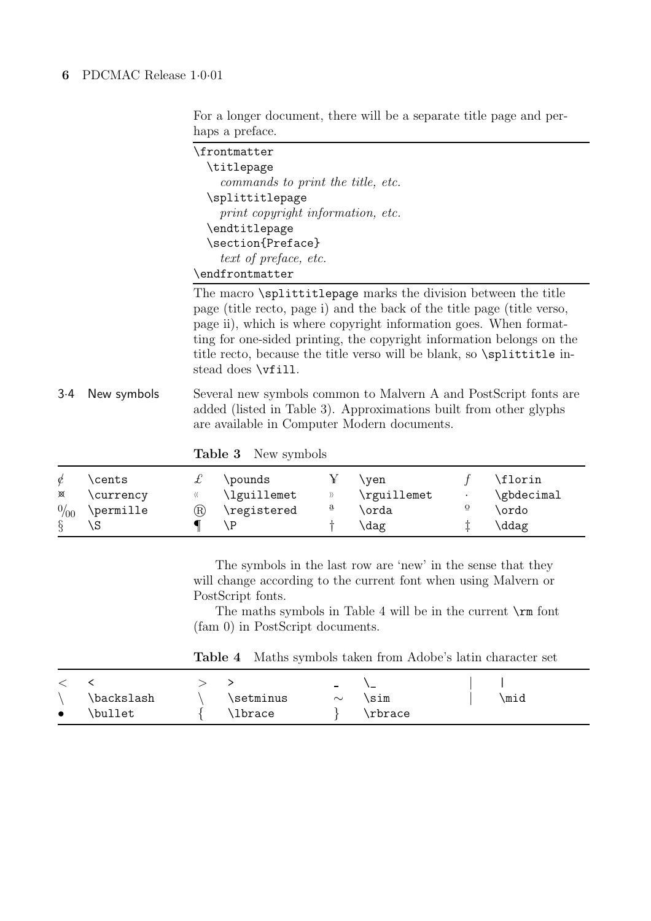For a longer document, there will be a separate title page and perhaps a preface.

| \frontmatter                                                          |
|-----------------------------------------------------------------------|
| \titlepage                                                            |
| commands to print the title, etc.                                     |
| \splittitlepage                                                       |
| print copyright information, etc.                                     |
| \endtitlepage                                                         |
| \section{Preface}                                                     |
| text of preface, etc.                                                 |
| \endfrontmatter                                                       |
| The macro <i>\splittitlepage</i> marks the division between the title |
| page (title recto page i) and the back of the title page (title verse |

page (title recto, page i) and the back of the title page (title verso, page ii), which is where copyright information goes. When formatting for one-sided printing, the copyright information belongs on the title recto, because the title verso will be blank, so \splittitle instead does \vfill.

3·4 New symbols Several new symbols common to Malvern A and PostScript fonts are added (listed in Table 3). Approximations built from other glyphs are available in Computer Modern documents.

**Table 3** New symbols

| ⊠<br>0/00 | \cents<br>\currency<br>\permille | ® | \pounds<br>\lguillemet<br>\registered | $\mathbf{a}$ | \ven<br>\rguillemet<br>orda | $\overline{0}$ | \florin<br>\gbdecimal<br>\ordo |
|-----------|----------------------------------|---|---------------------------------------|--------------|-----------------------------|----------------|--------------------------------|
|           |                                  |   |                                       |              | $\langle$ dag               |                | \ddag                          |

The symbols in the last row are 'new' in the sense that they will change according to the current font when using Malvern or PostScript fonts.

The maths symbols in Table 4 will be in the current \rm font (fam 0) in PostScript documents.

**Table 4** Maths symbols taken from Adobe's latin character set

|           |            |           | $\overline{\phantom{a}}$ | ._      |      |
|-----------|------------|-----------|--------------------------|---------|------|
|           | \backslash | \setminus | $\sim$                   | sim     | ∖mid |
| $\bullet$ | \bullet    | lbrace    |                          | \rbrace |      |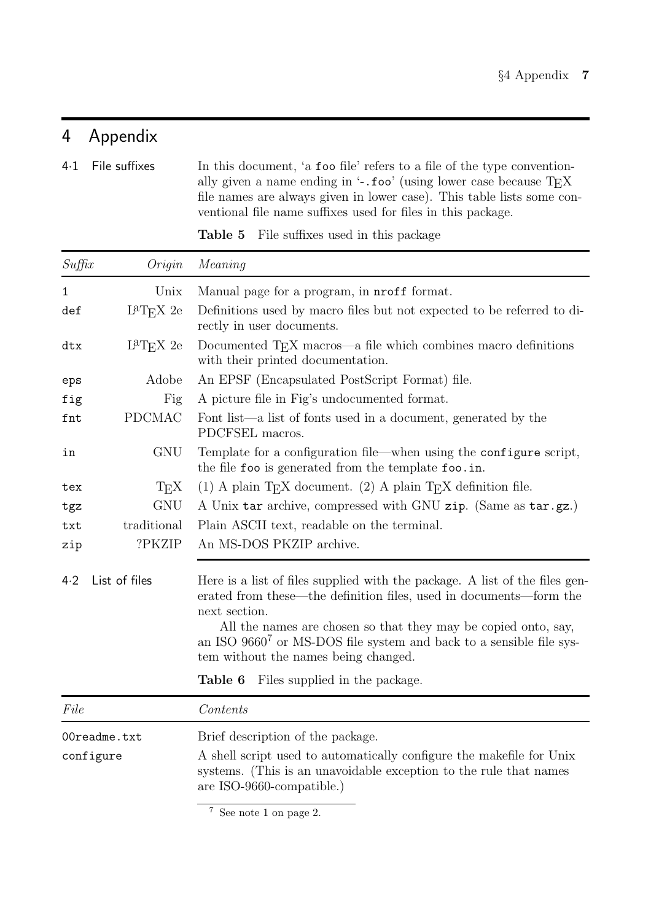# 4 Appendix

4·1 File suffixes In this document, 'a foo file' refers to a file of the type conventionally given a name ending in  $\cdot$ -.foo' (using lower case because  $TEX$ file names are always given in lower case). This table lists some conventional file name suffixes used for files in this package.

| Suffix                    | Origin                       | Meaning                                                                                                                                                                                                                                                                                                                                                         |  |  |  |
|---------------------------|------------------------------|-----------------------------------------------------------------------------------------------------------------------------------------------------------------------------------------------------------------------------------------------------------------------------------------------------------------------------------------------------------------|--|--|--|
| 1                         | Unix                         | Manual page for a program, in <b>nroff</b> format.                                                                                                                                                                                                                                                                                                              |  |  |  |
| def                       | $L^{a}T$ <sub>F</sub> $X$ 2e | Definitions used by macro files but not expected to be referred to di-<br>rectly in user documents.                                                                                                                                                                                                                                                             |  |  |  |
| dtx                       | $L^{a}T$ <sub>E</sub> $X$ 2e | Documented T <sub>E</sub> X macros—a file which combines macro definitions<br>with their printed documentation.                                                                                                                                                                                                                                                 |  |  |  |
| eps                       | Adobe                        | An EPSF (Encapsulated PostScript Format) file.                                                                                                                                                                                                                                                                                                                  |  |  |  |
| fig                       | Fig                          | A picture file in Fig's undocumented format.                                                                                                                                                                                                                                                                                                                    |  |  |  |
| fnt                       | <b>PDCMAC</b>                | Font list—a list of fonts used in a document, generated by the<br>PDCFSEL macros.                                                                                                                                                                                                                                                                               |  |  |  |
| in                        | <b>GNU</b>                   | Template for a configuration file—when using the configure script,<br>the file foo is generated from the template foo.in.                                                                                                                                                                                                                                       |  |  |  |
| tex                       | $T_{E}X$                     | (1) A plain T <sub>E</sub> X document. (2) A plain T <sub>E</sub> X definition file.                                                                                                                                                                                                                                                                            |  |  |  |
| tgz                       | <b>GNU</b>                   | A Unix tar archive, compressed with GNU zip. (Same as tar.gz.)                                                                                                                                                                                                                                                                                                  |  |  |  |
| txt                       | traditional                  | Plain ASCII text, readable on the terminal.                                                                                                                                                                                                                                                                                                                     |  |  |  |
| zip                       | ?PKZIP                       | An MS-DOS PKZIP archive.                                                                                                                                                                                                                                                                                                                                        |  |  |  |
| List of files<br>4.2      |                              | Here is a list of files supplied with the package. A list of the files gen-<br>erated from these—the definition files, used in documents—form the<br>next section.<br>All the names are chosen so that they may be copied onto, say,<br>an ISO 9660 <sup>7</sup> or MS-DOS file system and back to a sensible file sys-<br>tem without the names being changed. |  |  |  |
|                           |                              | Table 6<br>Files supplied in the package.                                                                                                                                                                                                                                                                                                                       |  |  |  |
| File                      |                              | Contents                                                                                                                                                                                                                                                                                                                                                        |  |  |  |
| 00readme.txt<br>configure |                              | Brief description of the package.<br>A shell script used to automatically configure the makefile for Unix<br>systems. (This is an unavoidable exception to the rule that names<br>are ISO-9660-compatible.)                                                                                                                                                     |  |  |  |

**Table 5** File suffixes used in this package

<sup>7</sup> See note 1 on page 2.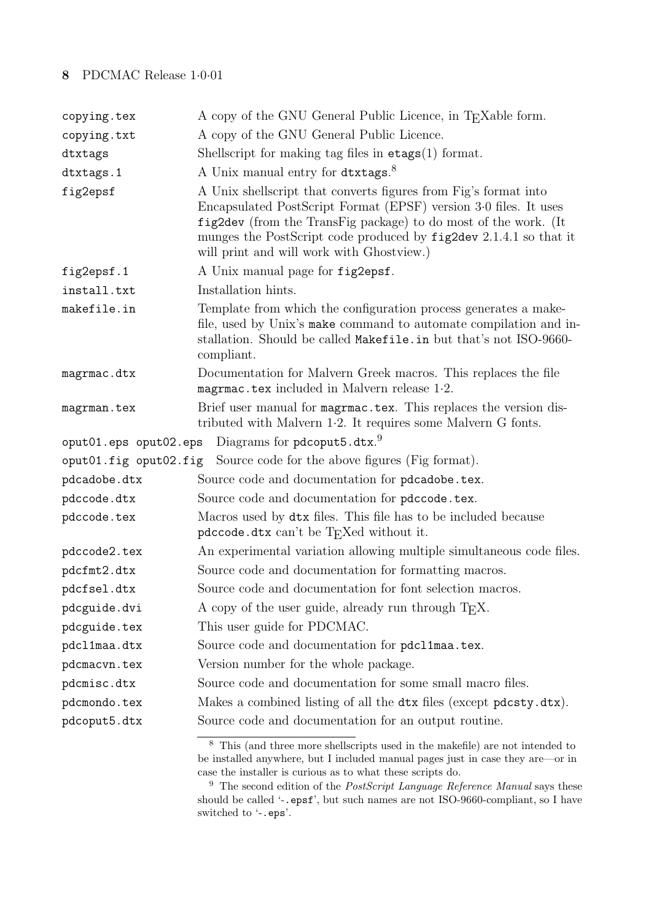## **8** PDCMAC Release 1·0·01

| copying.tex           | A copy of the GNU General Public Licence, in T <sub>E</sub> Xable form.                                                                                                                                                                                                                                                  |
|-----------------------|--------------------------------------------------------------------------------------------------------------------------------------------------------------------------------------------------------------------------------------------------------------------------------------------------------------------------|
| copying.txt           | A copy of the GNU General Public Licence.                                                                                                                                                                                                                                                                                |
| dtxtags               | Shellscript for making tag files in $\texttt{etags}(1)$ format.                                                                                                                                                                                                                                                          |
| dtxtags.1             | A Unix manual entry for dtxtags. <sup>8</sup>                                                                                                                                                                                                                                                                            |
| fig2epsf              | A Unix shellscript that converts figures from Fig's format into<br>Encapsulated PostScript Format (EPSF) version 3.0 files. It uses<br>fig2dev (from the TransFig package) to do most of the work. (It<br>munges the PostScript code produced by fig2dev 2.1.4.1 so that it<br>will print and will work with Ghostview.) |
| fig2epsf.1            | A Unix manual page for fig2epsf.                                                                                                                                                                                                                                                                                         |
| install.txt           | Installation hints.                                                                                                                                                                                                                                                                                                      |
| makefile.in           | Template from which the configuration process generates a make-<br>file, used by Unix's make command to automate compilation and in-<br>stallation. Should be called Makefile.in but that's not ISO-9660-<br>compliant.                                                                                                  |
| magrmac.dtx           | Documentation for Malvern Greek macros. This replaces the file<br>magrmac.tex included in Malvern release $1.2$ .                                                                                                                                                                                                        |
| magrman.tex           | Brief user manual for magrmac.tex. This replaces the version dis-<br>tributed with Malvern 1.2. It requires some Malvern G fonts.                                                                                                                                                                                        |
| oput01.eps oput02.eps | Diagrams for pdcoput5.dtx. <sup>9</sup>                                                                                                                                                                                                                                                                                  |
| oput01.fig oput02.fig | Source code for the above figures (Fig format).                                                                                                                                                                                                                                                                          |
| pdcadobe.dtx          | Source code and documentation for pdcadobe.tex.                                                                                                                                                                                                                                                                          |
| pdccode.dtx           | Source code and documentation for pdccode.tex.                                                                                                                                                                                                                                                                           |
| pdccode.tex           | Macros used by dtx files. This file has to be included because<br>pdccode.dtx can't be TEXed without it.                                                                                                                                                                                                                 |
| pdccode2.tex          | An experimental variation allowing multiple simultaneous code files.                                                                                                                                                                                                                                                     |
| pdcfmt2.dtx           | Source code and documentation for formatting macros.                                                                                                                                                                                                                                                                     |
| pdcfsel.dtx           | Source code and documentation for font selection macros.                                                                                                                                                                                                                                                                 |
| pdcguide.dvi          | A copy of the user guide, already run through T <sub>E</sub> X.                                                                                                                                                                                                                                                          |
| pdcguide.tex          | This user guide for PDCMAC.                                                                                                                                                                                                                                                                                              |
| pdcl1maa.dtx          | Source code and documentation for pdcl1maa.tex.                                                                                                                                                                                                                                                                          |
| pdcmacvn.tex          | Version number for the whole package.                                                                                                                                                                                                                                                                                    |
| pdcmisc.dtx           | Source code and documentation for some small macro files.                                                                                                                                                                                                                                                                |
| pdcmondo.tex          | Makes a combined listing of all the dtx files (except pdcsty.dtx).                                                                                                                                                                                                                                                       |
| pdcoput5.dtx          | Source code and documentation for an output routine.                                                                                                                                                                                                                                                                     |
|                       |                                                                                                                                                                                                                                                                                                                          |

This (and three more shellscripts used in the makefile) are not intended to be installed anywhere, but I included manual pages just in case they are—or in case the installer is curious as to what these scripts do.

<sup>9</sup> The second edition of the *PostScript Language Reference Manual* says these should be called '-.epsf', but such names are not ISO-9660-compliant, so I have switched to '-.eps'.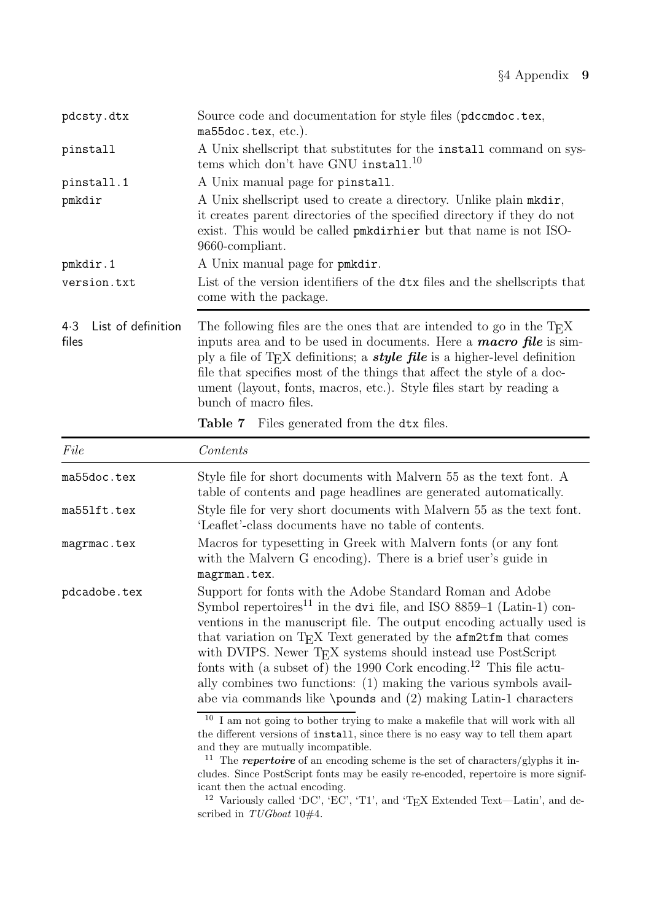| pdcsty.dtx                         | Source code and documentation for style files (pdccmdoc.tex,<br>ma55doc.tex, etc.).                                                                                                                                                                                                                                                                                                                                             |  |  |  |  |  |
|------------------------------------|---------------------------------------------------------------------------------------------------------------------------------------------------------------------------------------------------------------------------------------------------------------------------------------------------------------------------------------------------------------------------------------------------------------------------------|--|--|--|--|--|
| pinstall                           | A Unix shells cript that substitutes for the install command on sys-<br>tems which don't have GNU install. <sup>10</sup>                                                                                                                                                                                                                                                                                                        |  |  |  |  |  |
| pinstall.1                         | A Unix manual page for pinstall.                                                                                                                                                                                                                                                                                                                                                                                                |  |  |  |  |  |
| pmkdir                             | A Unix shellscript used to create a directory. Unlike plain molation-<br>it creates parent directories of the specified directory if they do not<br>exist. This would be called pook direction but that name is not ISO-<br>9660-compliant.                                                                                                                                                                                     |  |  |  |  |  |
| pmkdir.1                           | A Unix manual page for pmkdir.                                                                                                                                                                                                                                                                                                                                                                                                  |  |  |  |  |  |
| version.txt                        | List of the version identifiers of the dtx files and the shells cripts that<br>come with the package.                                                                                                                                                                                                                                                                                                                           |  |  |  |  |  |
| List of definition<br>4.3<br>files | The following files are the ones that are intended to go in the $T_{F}X$<br>inputs area and to be used in documents. Here a <b>macro file</b> is sim-<br>ply a file of T <sub>E</sub> X definitions; a <i>style file</i> is a higher-level definition<br>file that specifies most of the things that affect the style of a doc-<br>ument (layout, fonts, macros, etc.). Style files start by reading a<br>bunch of macro files. |  |  |  |  |  |
|                                    | <b>Table 7</b> Files generated from the dtx files.                                                                                                                                                                                                                                                                                                                                                                              |  |  |  |  |  |

| File         | Contents                                                                                                                                                                                                                                                                                                                                                                                                                                                                                                                                                                                                                  |
|--------------|---------------------------------------------------------------------------------------------------------------------------------------------------------------------------------------------------------------------------------------------------------------------------------------------------------------------------------------------------------------------------------------------------------------------------------------------------------------------------------------------------------------------------------------------------------------------------------------------------------------------------|
| ma55doc.tex  | Style file for short documents with Malvern 55 as the text font. A<br>table of contents and page headlines are generated automatically.                                                                                                                                                                                                                                                                                                                                                                                                                                                                                   |
| ma551ft.tex  | Style file for very short documents with Malvern 55 as the text font.<br>'Leaflet'-class documents have no table of contents.                                                                                                                                                                                                                                                                                                                                                                                                                                                                                             |
| magrmac.tex  | Macros for typesetting in Greek with Malvern fonts (or any font<br>with the Malvern G encoding). There is a brief user's guide in<br>magrman.tex.                                                                                                                                                                                                                                                                                                                                                                                                                                                                         |
| pdcadobe.tex | Support for fonts with the Adobe Standard Roman and Adobe<br>Symbol repertoires <sup>11</sup> in the dvi file, and ISO 8859–1 (Latin-1) con-<br>ventions in the manuscript file. The output encoding actually used is<br>that variation on T <sub>F</sub> X Text generated by the <b>afm2tfm</b> that comes<br>with DVIPS. Newer T <sub>E</sub> X systems should instead use PostScript<br>fonts with (a subset of) the 1990 Cork encoding. <sup>12</sup> This file actu-<br>ally combines two functions: (1) making the various symbols avail-<br>abe via commands like $\pmb{\omega}$ and (2) making Latin-1 characters |
|              | $^{\rm 10}$ I am not going to bother trying to make a makefile that will work with all<br>the different versions of install, since there is no easy way to tell them apart<br>and they are mutually incompatible.<br>The <b>repertoire</b> of an encoding scheme is the set of characters/glyphs it in-<br>cludes. Since PostScript fonts may be easily re-encoded, repertoire is more signif-<br>icant then the actual encoding.                                                                                                                                                                                         |

<sup>&</sup>lt;sup>12</sup> Variously called 'DC', 'EC', 'T1', and 'T<sub>E</sub>X Extended Text—Latin', and described in  $TUGboat$  10#4.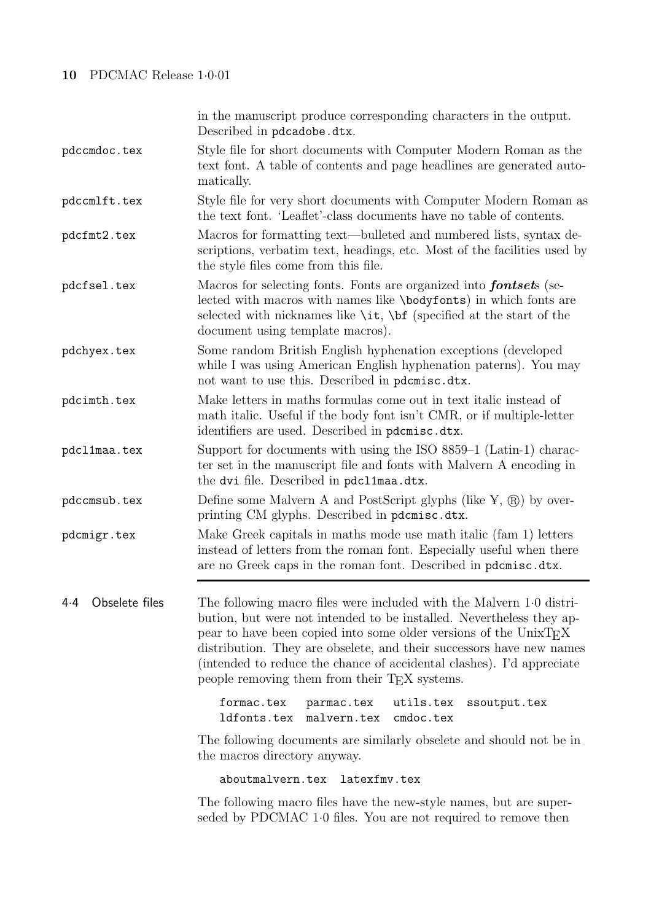### **10** PDCMAC Release 1·0·01

in the manuscript produce corresponding characters in the output. Described in pdcadobe.dtx. pdccmdoc.tex Style file for short documents with Computer Modern Roman as the text font. A table of contents and page headlines are generated automatically. pdccmlft.tex Style file for very short documents with Computer Modern Roman as the text font. 'Leaflet'-class documents have no table of contents. pdcfmt2.tex Macros for formatting text—bulleted and numbered lists, syntax descriptions, verbatim text, headings, etc. Most of the facilities used by the style files come from this file. pdcfsel.tex Macros for selecting fonts. Fonts are organized into *fontset*s (selected with macros with names like \bodyfonts) in which fonts are selected with nicknames like  $\it \iota$ ,  $\it \iota$  (specified at the start of the document using template macros). pdchyex.tex Some random British English hyphenation exceptions (developed while I was using American English hyphenation paterns). You may not want to use this. Described in pdcmisc.dtx. pdcimth.tex Make letters in maths formulas come out in text italic instead of math italic. Useful if the body font isn't CMR, or if multiple-letter identifiers are used. Described in pdcmisc.dtx. pdcl1maa.tex Support for documents with using the ISO 8859–1 (Latin-1) character set in the manuscript file and fonts with Malvern A encoding in the dvi file. Described in pdcl1maa.dtx.  $\mathsf{pdccmsub.tex}$   $\blacksquare$  Define some Malvern A and PostScript glyphs (like  $\mathbb{Y},\, \textcircled{k})$  by overprinting CM glyphs. Described in pdcmisc.dtx. pdcmigr.tex Make Greek capitals in maths mode use math italic (fam 1) letters instead of letters from the roman font. Especially useful when there are no Greek caps in the roman font. Described in pdcmisc.dtx. 4·4 Obselete files The following macro files were included with the Malvern 1·0 distribution, but were not intended to be installed. Nevertheless they appear to have been copied into some older versions of the UnixTEX distribution. They are obselete, and their successors have new names (intended to reduce the chance of accidental clashes). I'd appreciate people removing them from their TEX systems. formac.tex parmac.tex utils.tex ssoutput.tex ldfonts.tex malvern.tex cmdoc.tex

The following documents are similarly obselete and should not be in the macros directory anyway.

aboutmalvern.tex latexfmv.tex

The following macro files have the new-style names, but are superseded by PDCMAC 1·0 files. You are not required to remove then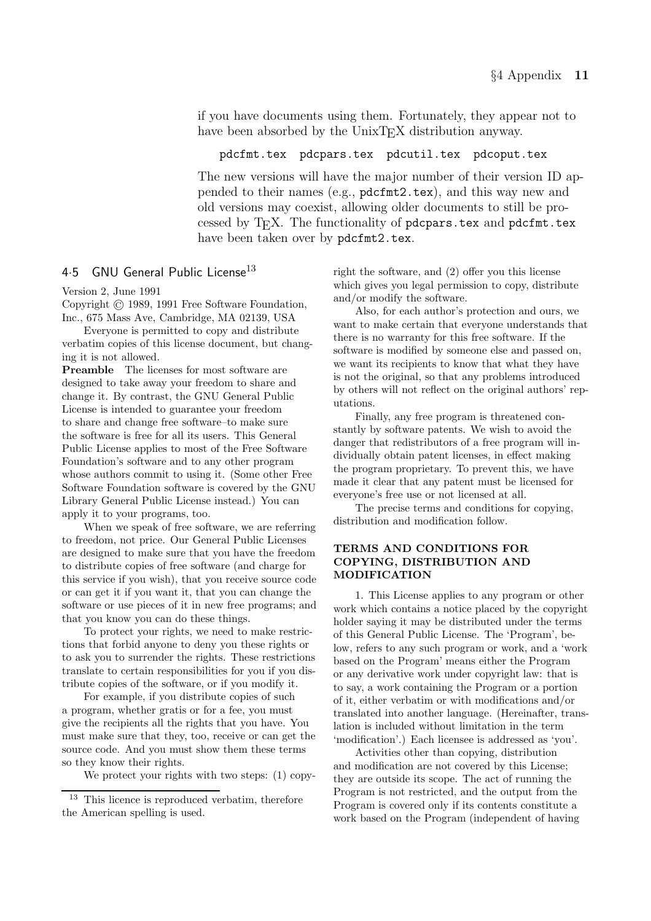if you have documents using them. Fortunately, they appear not to have been absorbed by the UnixT<sub>EX</sub> distribution anyway.

pdcfmt.tex pdcpars.tex pdcutil.tex pdcoput.tex

The new versions will have the major number of their version ID appended to their names (e.g., pdcfmt2.tex), and this way new and old versions may coexist, allowing older documents to still be processed by T<sub>E</sub>X. The functionality of pdcpars.tex and pdcfmt.tex have been taken over by pdcfmt2.tex.

### 4.5 GNU General Public License<sup>13</sup>

Version 2, June 1991

Copyright  $\odot$  1989, 1991 Free Software Foundation, Inc., 675 Mass Ave, Cambridge, MA 02139, USA

Everyone is permitted to copy and distribute verbatim copies of this license document, but changing it is not allowed.

**Preamble** The licenses for most software are designed to take away your freedom to share and change it. By contrast, the GNU General Public License is intended to guarantee your freedom to share and change free software–to make sure the software is free for all its users. This General Public License applies to most of the Free Software Foundation's software and to any other program whose authors commit to using it. (Some other Free Software Foundation software is covered by the GNU Library General Public License instead.) You can apply it to your programs, too.

When we speak of free software, we are referring to freedom, not price. Our General Public Licenses are designed to make sure that you have the freedom to distribute copies of free software (and charge for this service if you wish), that you receive source code or can get it if you want it, that you can change the software or use pieces of it in new free programs; and that you know you can do these things.

To protect your rights, we need to make restrictions that forbid anyone to deny you these rights or to ask you to surrender the rights. These restrictions translate to certain responsibilities for you if you distribute copies of the software, or if you modify it.

For example, if you distribute copies of such a program, whether gratis or for a fee, you must give the recipients all the rights that you have. You must make sure that they, too, receive or can get the source code. And you must show them these terms so they know their rights.

We protect your rights with two steps: (1) copy-

right the software, and (2) offer you this license which gives you legal permission to copy, distribute and/or modify the software.

Also, for each author's protection and ours, we want to make certain that everyone understands that there is no warranty for this free software. If the software is modified by someone else and passed on, we want its recipients to know that what they have is not the original, so that any problems introduced by others will not reflect on the original authors' reputations.

Finally, any free program is threatened constantly by software patents. We wish to avoid the danger that redistributors of a free program will individually obtain patent licenses, in effect making the program proprietary. To prevent this, we have made it clear that any patent must be licensed for everyone's free use or not licensed at all.

The precise terms and conditions for copying, distribution and modification follow.

# **TERMS AND CONDITIONS FOR MODIFICATION**

1. This License applies to any program or other work which contains a notice placed by the copyright holder saying it may be distributed under the terms of this General Public License. The 'Program', below, refers to any such program or work, and a 'work based on the Program' means either the Program or any derivative work under copyright law: that is to say, a work containing the Program or a portion of it, either verbatim or with modifications and/or translated into another language. (Hereinafter, translation is included without limitation in the term 'modification'.) Each licensee is addressed as 'you'.

Activities other than copying, distribution and modification are not covered by this License; they are outside its scope. The act of running the Program is not restricted, and the output from the Program is covered only if its contents constitute a work based on the Program (independent of having

<sup>&</sup>lt;sup>13</sup> This licence is reproduced verbatim, therefore the American spelling is used.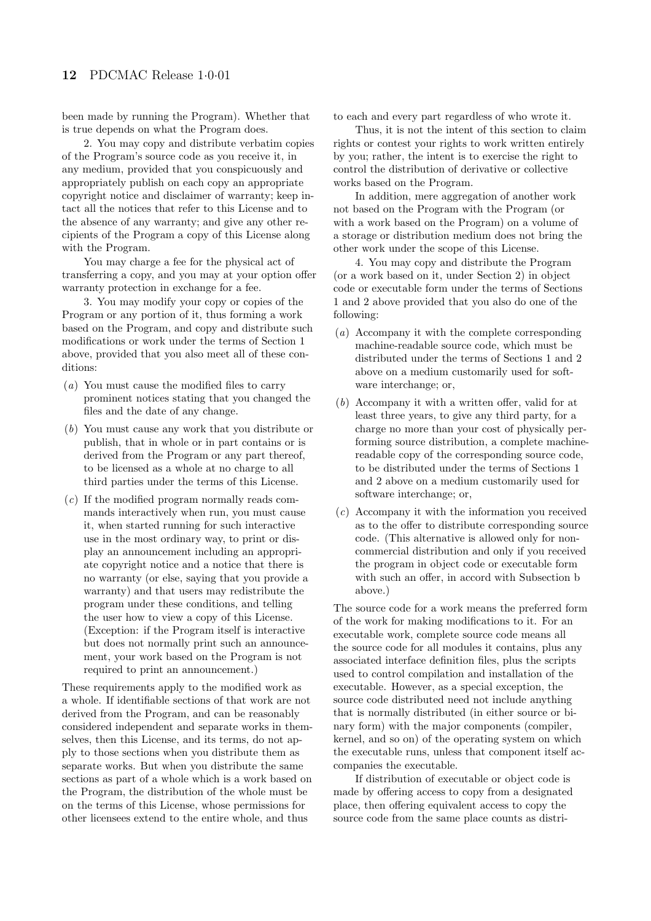been made by running the Program). Whether that is true depends on what the Program does.

2. You may copy and distribute verbatim copies of the Program's source code as you receive it, in any medium, provided that you conspicuously and appropriately publish on each copy an appropriate copyright notice and disclaimer of warranty; keep intact all the notices that refer to this License and to the absence of any warranty; and give any other recipients of the Program a copy of this License along with the Program.

You may charge a fee for the physical act of transferring a copy, and you may at your option offer warranty protection in exchange for a fee.

3. You may modify your copy or copies of the Program or any portion of it, thus forming a work based on the Program, and copy and distribute such modifications or work under the terms of Section 1 above, provided that you also meet all of these conditions:

- (*a*) You must cause the modified files to carry prominent notices stating that you changed the files and the date of any change.
- (*b*) You must cause any work that you distribute or publish, that in whole or in part contains or is derived from the Program or any part thereof, to be licensed as a whole at no charge to all third parties under the terms of this License.
- (*c*) If the modified program normally reads commands interactively when run, you must cause it, when started running for such interactive use in the most ordinary way, to print or display an announcement including an appropriate copyright notice and a notice that there is no warranty (or else, saying that you provide a warranty) and that users may redistribute the program under these conditions, and telling the user how to view a copy of this License. (Exception: if the Program itself is interactive but does not normally print such an announcement, your work based on the Program is not required to print an announcement.)

These requirements apply to the modified work as a whole. If identifiable sections of that work are not derived from the Program, and can be reasonably considered independent and separate works in themselves, then this License, and its terms, do not apply to those sections when you distribute them as separate works. But when you distribute the same sections as part of a whole which is a work based on the Program, the distribution of the whole must be on the terms of this License, whose permissions for other licensees extend to the entire whole, and thus

to each and every part regardless of who wrote it.

Thus, it is not the intent of this section to claim rights or contest your rights to work written entirely by you; rather, the intent is to exercise the right to control the distribution of derivative or collective works based on the Program.

In addition, mere aggregation of another work not based on the Program with the Program (or with a work based on the Program) on a volume of a storage or distribution medium does not bring the other work under the scope of this License.

4. You may copy and distribute the Program (or a work based on it, under Section 2) in object code or executable form under the terms of Sections 1 and 2 above provided that you also do one of the following:

- (*a*) Accompany it with the complete corresponding machine-readable source code, which must be distributed under the terms of Sections 1 and 2 above on a medium customarily used for software interchange; or,
- (*b*) Accompany it with a written offer, valid for at least three years, to give any third party, for a charge no more than your cost of physically performing source distribution, a complete machinereadable copy of the corresponding source code, to be distributed under the terms of Sections 1 and 2 above on a medium customarily used for software interchange; or,
- (*c*) Accompany it with the information you received as to the offer to distribute corresponding source code. (This alternative is allowed only for noncommercial distribution and only if you received the program in object code or executable form with such an offer, in accord with Subsection b above.)

The source code for a work means the preferred form of the work for making modifications to it. For an executable work, complete source code means all the source code for all modules it contains, plus any associated interface definition files, plus the scripts used to control compilation and installation of the executable. However, as a special exception, the source code distributed need not include anything that is normally distributed (in either source or binary form) with the major components (compiler, kernel, and so on) of the operating system on which the executable runs, unless that component itself accompanies the executable.

If distribution of executable or object code is made by offering access to copy from a designated place, then offering equivalent access to copy the source code from the same place counts as distri-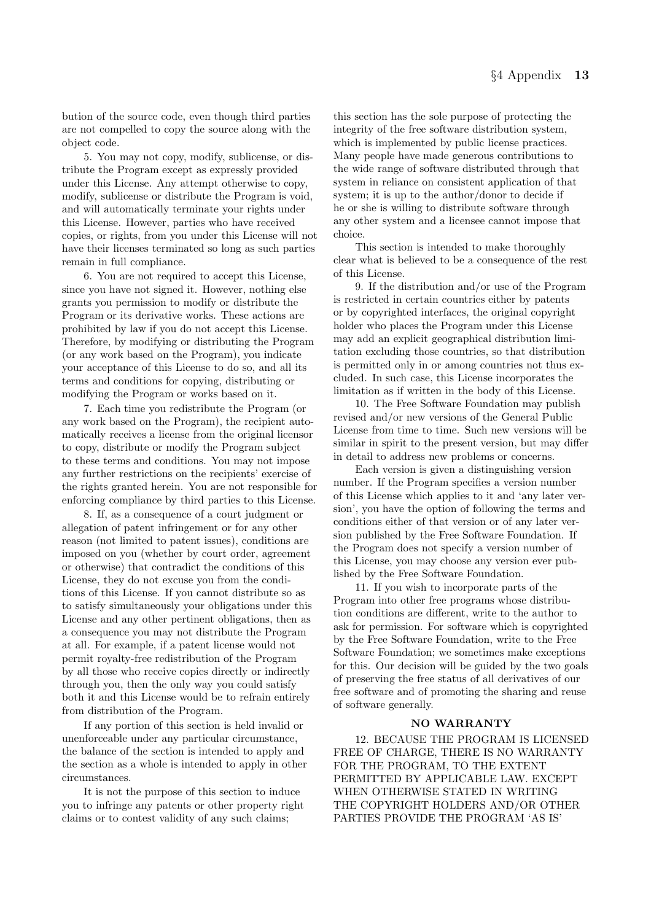bution of the source code, even though third parties are not compelled to copy the source along with the object code.

5. You may not copy, modify, sublicense, or distribute the Program except as expressly provided under this License. Any attempt otherwise to copy, modify, sublicense or distribute the Program is void, and will automatically terminate your rights under this License. However, parties who have received copies, or rights, from you under this License will not have their licenses terminated so long as such parties remain in full compliance.

6. You are not required to accept this License, since you have not signed it. However, nothing else grants you permission to modify or distribute the Program or its derivative works. These actions are prohibited by law if you do not accept this License. Therefore, by modifying or distributing the Program (or any work based on the Program), you indicate your acceptance of this License to do so, and all its terms and conditions for copying, distributing or modifying the Program or works based on it.

7. Each time you redistribute the Program (or any work based on the Program), the recipient automatically receives a license from the original licensor to copy, distribute or modify the Program subject to these terms and conditions. You may not impose any further restrictions on the recipients' exercise of the rights granted herein. You are not responsible for enforcing compliance by third parties to this License.

8. If, as a consequence of a court judgment or allegation of patent infringement or for any other reason (not limited to patent issues), conditions are imposed on you (whether by court order, agreement or otherwise) that contradict the conditions of this License, they do not excuse you from the conditions of this License. If you cannot distribute so as to satisfy simultaneously your obligations under this License and any other pertinent obligations, then as a consequence you may not distribute the Program at all. For example, if a patent license would not permit royalty-free redistribution of the Program by all those who receive copies directly or indirectly through you, then the only way you could satisfy both it and this License would be to refrain entirely from distribution of the Program.

If any portion of this section is held invalid or unenforceable under any particular circumstance, the balance of the section is intended to apply and the section as a whole is intended to apply in other circumstances.

It is not the purpose of this section to induce you to infringe any patents or other property right claims or to contest validity of any such claims;

this section has the sole purpose of protecting the integrity of the free software distribution system, which is implemented by public license practices. Many people have made generous contributions to the wide range of software distributed through that system in reliance on consistent application of that system; it is up to the author/donor to decide if he or she is willing to distribute software through any other system and a licensee cannot impose that choice.

This section is intended to make thoroughly clear what is believed to be a consequence of the rest of this License.

9. If the distribution and/or use of the Program is restricted in certain countries either by patents or by copyrighted interfaces, the original copyright holder who places the Program under this License may add an explicit geographical distribution limitation excluding those countries, so that distribution is permitted only in or among countries not thus excluded. In such case, this License incorporates the limitation as if written in the body of this License.

10. The Free Software Foundation may publish revised and/or new versions of the General Public License from time to time. Such new versions will be similar in spirit to the present version, but may differ in detail to address new problems or concerns.

Each version is given a distinguishing version number. If the Program specifies a version number of this License which applies to it and 'any later version', you have the option of following the terms and conditions either of that version or of any later version published by the Free Software Foundation. If the Program does not specify a version number of this License, you may choose any version ever published by the Free Software Foundation.

11. If you wish to incorporate parts of the Program into other free programs whose distribution conditions are different, write to the author to ask for permission. For software which is copyrighted by the Free Software Foundation, write to the Free Software Foundation; we sometimes make exceptions for this. Our decision will be guided by the two goals of preserving the free status of all derivatives of our free software and of promoting the sharing and reuse of software generally.

12. BECAUSE THE PROGRAM IS LICENSED FREE OF CHARGE, THERE IS NO WARRANTY FOR THE PROGRAM, TO THE EXTENT PERMITTED BY APPLICABLE LAW. EXCEPT WHEN OTHERWISE STATED IN WRITING THE COPYRIGHT HOLDERS AND/OR OTHER PARTIES PROVIDE THE PROGRAM 'AS IS'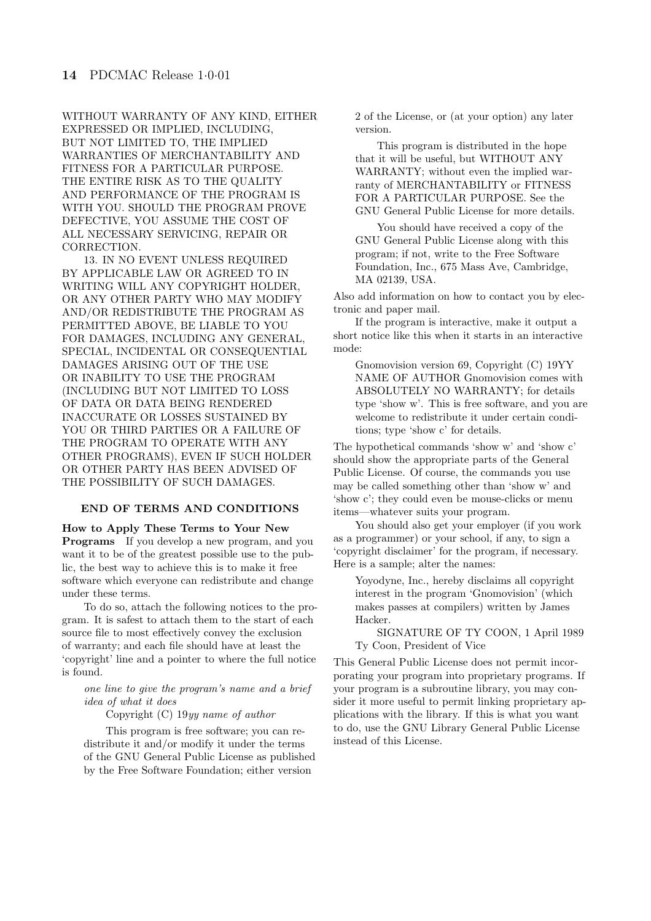WITHOUT WARRANTY OF ANY KIND, EITHER EXPRESSED OR IMPLIED, INCLUDING, BUT NOT LIMITED TO, THE IMPLIED WARRANTIES OF MERCHANTABILITY AND FITNESS FOR A PARTICULAR PURPOSE. THE ENTIRE RISK AS TO THE QUALITY AND PERFORMANCE OF THE PROGRAM IS WITH YOU. SHOULD THE PROGRAM PROVE DEFECTIVE, YOU ASSUME THE COST OF ALL NECESSARY SERVICING, REPAIR OR CORRECTION.

13. IN NO EVENT UNLESS REQUIRED BY APPLICABLE LAW OR AGREED TO IN WRITING WILL ANY COPYRIGHT HOLDER, OR ANY OTHER PARTY WHO MAY MODIFY AND/OR REDISTRIBUTE THE PROGRAM AS PERMITTED ABOVE, BE LIABLE TO YOU FOR DAMAGES, INCLUDING ANY GENERAL, SPECIAL, INCIDENTAL OR CONSEQUENTIAL DAMAGES ARISING OUT OF THE USE OR INABILITY TO USE THE PROGRAM (INCLUDING BUT NOT LIMITED TO LOSS OF DATA OR DATA BEING RENDERED INACCURATE OR LOSSES SUSTAINED BY YOU OR THIRD PARTIES OR A FAILURE OF THE PROGRAM TO OPERATE WITH ANY OTHER PROGRAMS), EVEN IF SUCH HOLDER OR OTHER PARTY HAS BEEN ADVISED OF THE POSSIBILITY OF SUCH DAMAGES.

#### **END OF TERMS AND CONDITIONS**

**Programs** If you develop a new program, and you want it to be of the greatest possible use to the public, the best way to achieve this is to make it free software which everyone can redistribute and change under these terms.

To do so, attach the following notices to the program. It is safest to attach them to the start of each source file to most effectively convey the exclusion of warranty; and each file should have at least the 'copyright' line and a pointer to where the full notice is found.

#### *one line to give the program's name and a brief idea of what it does*

Copyright (C) 19*yy name of author*

This program is free software; you can redistribute it and/or modify it under the terms of the GNU General Public License as published by the Free Software Foundation; either version

2 of the License, or (at your option) any later version.

This program is distributed in the hope that it will be useful, but WITHOUT ANY WARRANTY; without even the implied warranty of MERCHANTABILITY or FITNESS FOR A PARTICULAR PURPOSE. See the GNU General Public License for more details.

You should have received a copy of the GNU General Public License along with this program; if not, write to the Free Software Foundation, Inc., 675 Mass Ave, Cambridge, MA 02139, USA.

Also add information on how to contact you by electronic and paper mail.

If the program is interactive, make it output a short notice like this when it starts in an interactive mode:

Gnomovision version 69, Copyright (C) 19YY NAME OF AUTHOR Gnomovision comes with ABSOLUTELY NO WARRANTY; for details type 'show w'. This is free software, and you are welcome to redistribute it under certain conditions; type 'show c' for details.

The hypothetical commands 'show w' and 'show c' should show the appropriate parts of the General Public License. Of course, the commands you use may be called something other than 'show w' and 'show c'; they could even be mouse-clicks or menu items—whatever suits your program.

You should also get your employer (if you work as a programmer) or your school, if any, to sign a 'copyright disclaimer' for the program, if necessary. Here is a sample; alter the names:

Yoyodyne, Inc., hereby disclaims all copyright interest in the program 'Gnomovision' (which makes passes at compilers) written by James Hacker.

SIGNATURE OF TY COON, 1 April 1989 Ty Coon, President of Vice

This General Public License does not permit incorporating your program into proprietary programs. If your program is a subroutine library, you may consider it more useful to permit linking proprietary applications with the library. If this is what you want to do, use the GNU Library General Public License instead of this License.